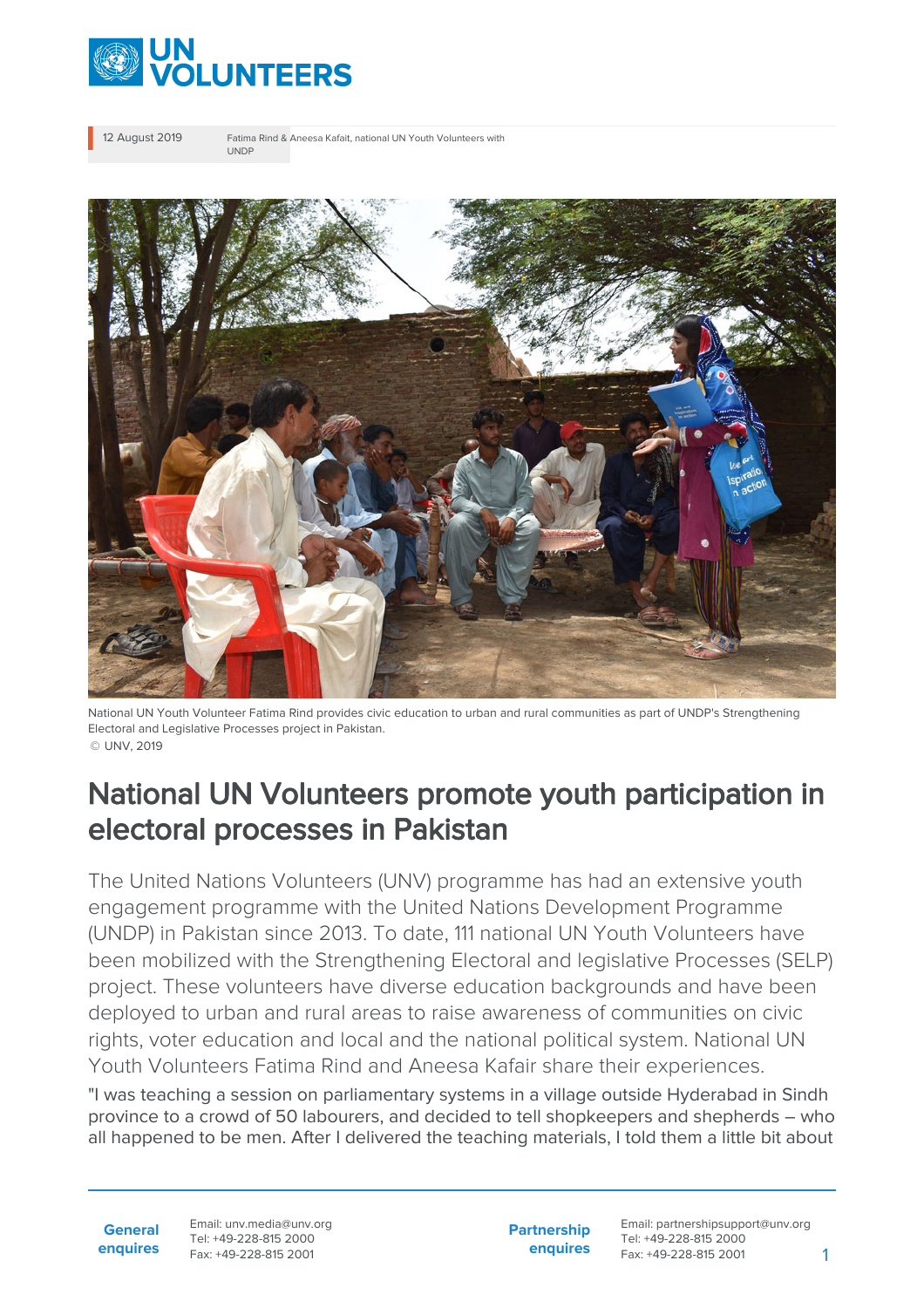

12 August 2019 Fatima Rind & Aneesa Kafait, national UN Youth Volunteers with UNDP



National UN Youth Volunteer Fatima Rind provides civic education to urban and rural communities as part of UNDP's Strengthening Electoral and Legislative Processes project in Pakistan. © UNV, 2019

## National UN Volunteers promote youth participation in electoral processes in Pakistan

The United Nations Volunteers (UNV) programme has had an extensive youth engagement programme with the United Nations Development Programme (UNDP) in Pakistan since 2013. To date, 111 national UN Youth Volunteers have been mobilized with the Strengthening Electoral and legislative Processes (SELP) project. These volunteers have diverse education backgrounds and have been deployed to urban and rural areas to raise awareness of communities on civic rights, voter education and local and the national political system. National UN Youth Volunteers Fatima Rind and Aneesa Kafair share their experiences.

"I was teaching a session on parliamentary systems in a village outside Hyderabad in Sindh province to a crowd of 50 labourers, and decided to tell shopkeepers and shepherds – who all happened to be men. After I delivered the teaching materials, I told them a little bit about

**General enquires** Email: unv.media@unv.org Tel: +49-228-815 2000 Fax: +49-228-815 2001

**Partnership enquires**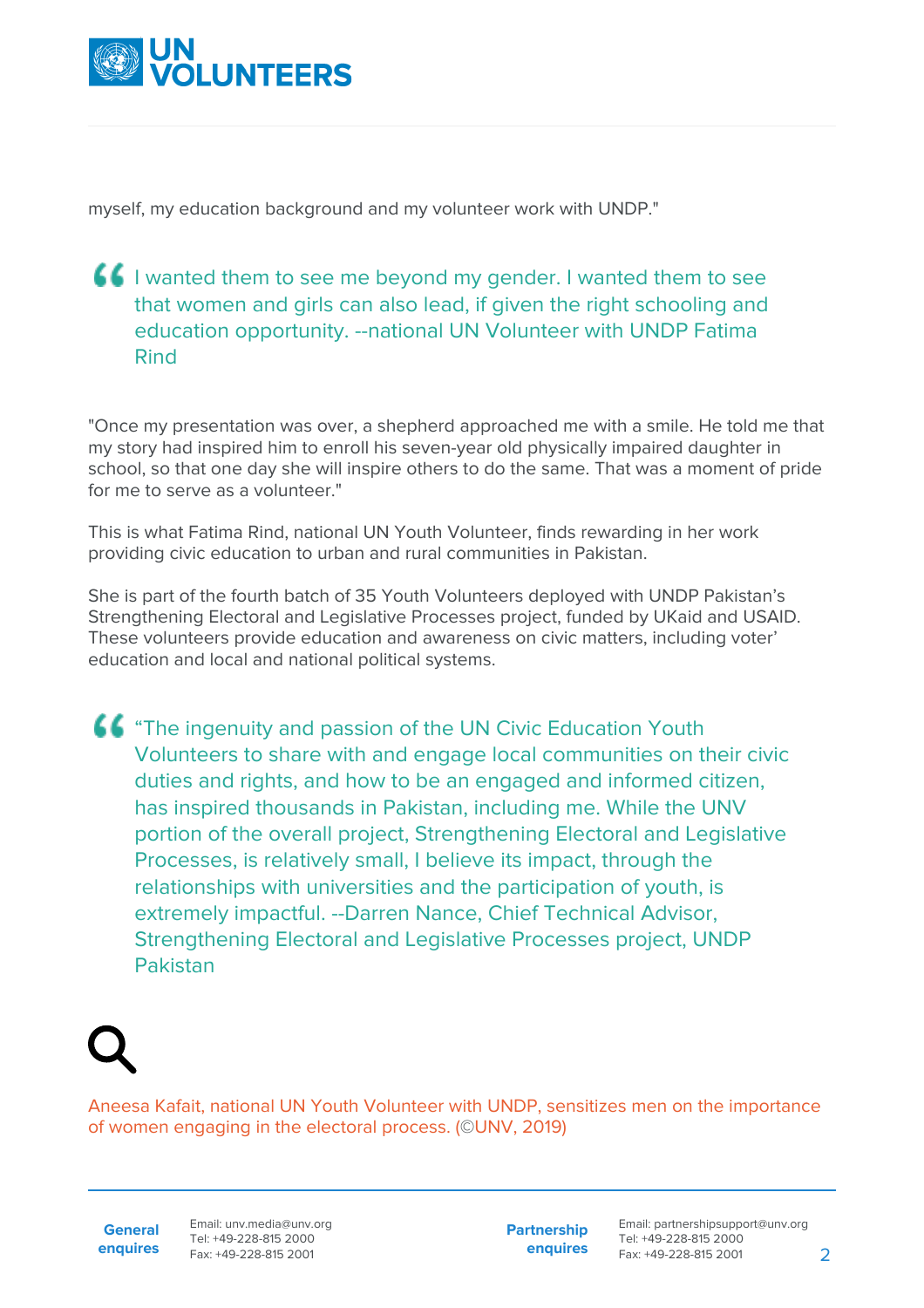

myself, my education background and my volunteer work with UNDP."

## **I** i wanted them to see me beyond my gender. I wanted them to see that women and girls can also lead, if given the right schooling and education opportunity. --national UN Volunteer with UNDP Fatima Rind

"Once my presentation was over, a shepherd approached me with a smile. He told me that my story had inspired him to enroll his seven-year old physically impaired daughter in school, so that one day she will inspire others to do the same. That was a moment of pride for me to serve as a volunteer."

This is what Fatima Rind, national UN Youth Volunteer, finds rewarding in her work providing civic education to urban and rural communities in Pakistan.

She is part of the fourth batch of 35 Youth Volunteers deployed with UNDP Pakistan's Strengthening Electoral and Legislative Processes project, funded by UKaid and USAID. These volunteers provide education and awareness on civic matters, including voter' education and local and national political systems.

**44** "The ingenuity and passion of the UN Civic Education Youth Volunteers to share with and engage local communities on their civic duties and rights, and how to be an engaged and informed citizen, has inspired thousands in Pakistan, including me. While the UNV portion of the overall project, Strengthening Electoral and Legislative Processes, is relatively small, I believe its impact, through the relationships with universities and the participation of youth, is extremely impactful. --Darren Nance, Chief Technical Advisor, Strengthening Electoral and Legislative Processes project, UNDP Pakistan

Aneesa Kafait, national UN Youth Volunteer with UNDP, sensitizes men on the importance of women engaging in the electoral process. (©UNV, 2019)

**General enquires** Email: unv.media@unv.org Tel: +49-228-815 2000 Fax: +49-228-815 2001

**Partnership enquires**

Email: partnershipsupport@unv.org Tel: +49-228-815 2000 Fax: +49-228-815 2001 2